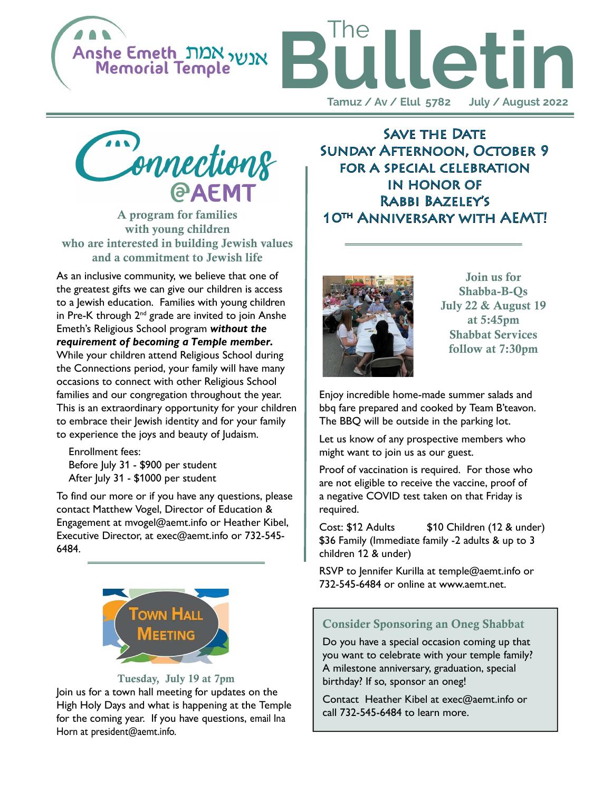





A program for families with young children who are interested in building Jewish values and a commitment to Jewish life

As an inclusive community, we believe that one of the greatest gifts we can give our children is access to a Jewish education. Families with young children in Pre-K through  $2<sup>nd</sup>$  grade are invited to join Anshe Emeth's Religious School program without the requirement of becoming a Temple member. While your children attend Religious School during the Connections period, your family will have many occasions to connect with other Religious School families and our congregation throughout the year. This is an extraordinary opportunity for your children to embrace their Jewish identity and for your family to experience the joys and beauty of Judaism.

 Enrollment fees: Before July 31 - \$900 per student After July 31 - \$1000 per student

To find our more or if you have any questions, please contact Matthew Vogel, Director of Education & Engagement at mvogel@aemt.info or Heather Kibel, Executive Director, at exec@aemt.info or 732-545- 6484.



#### Tuesday, July 19 at 7pm

Join us for a town hall meeting for updates on the High Holy Days and what is happening at the Temple for the coming year. If you have questions, email Ina Horn at president@aemt.info.

**SAVE THE DATE** Sunday Afternoon, October 9 for a special celebration in honor of Rabbi Bazeley's 10th Anniversary with AEMT!



Join us for Shabba-B-Qs July 22 & August 19 at 5:45pm Shabbat Services follow at 7:30pm

Enjoy incredible home-made summer salads and bbq fare prepared and cooked by Team B'teavon. The BBQ will be outside in the parking lot.

Let us know of any prospective members who might want to join us as our guest.

Proof of vaccination is required. For those who are not eligible to receive the vaccine, proof of a negative COVID test taken on that Friday is required.

Cost: \$12 Adults \$10 Children (12 & under) \$36 Family (Immediate family -2 adults & up to 3 children 12 & under)

RSVP to Jennifer Kurilla at temple@aemt.info or 732-545-6484 or online at www.aemt.net.

#### Consider Sponsoring an Oneg Shabbat

Do you have a special occasion coming up that you want to celebrate with your temple family? A milestone anniversary, graduation, special birthday? If so, sponsor an oneg!

Contact Heather Kibel at exec@aemt.info or call 732-545-6484 to learn more.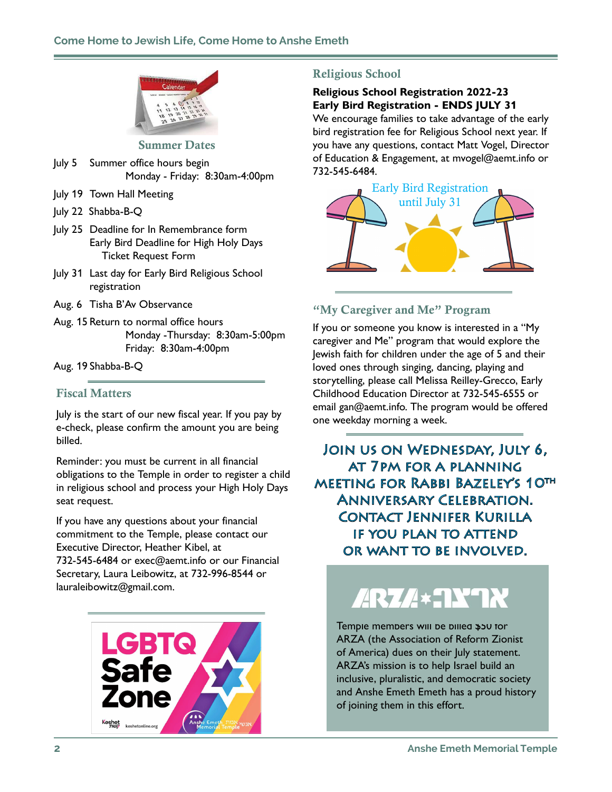

#### Summer Dates

- July 5 Summer office hours begin Monday - Friday: 8:30am-4:00pm
- July 19 Town Hall Meeting
- July 22 Shabba-B-Q
- July 25 Deadline for In Remembrance form Early Bird Deadline for High Holy Days Ticket Request Form
- July 31 Last day for Early Bird Religious School registration
- Aug. 6 Tisha B'Av Observance
- Aug. 15 Return to normal office hours Monday -Thursday: 8:30am-5:00pm Friday: 8:30am-4:00pm

Aug. 19 Shabba-B-Q

### Fiscal Matters

July is the start of our new fiscal year. If you pay by e-check, please confirm the amount you are being billed.

Reminder: you must be current in all financial obligations to the Temple in order to register a child in religious school and process your High Holy Days seat request.

If you have any questions about your financial commitment to the Temple, please contact our Executive Director, Heather Kibel, at 732-545-6484 or exec@aemt.info or our Financial Secretary, Laura Leibowitz, at 732-996-8544 or lauraleibowitz@gmail.com.



## Religious School

#### Religious School Registration 2022-23 Early Bird Registration - ENDS JULY 31

We encourage families to take advantage of the early bird registration fee for Religious School next year. If you have any questions, contact Matt Vogel, Director of Education & Engagement, at mvogel@aemt.info or 732-545-6484.



## "My Caregiver and Me" Program

If you or someone you know is interested in a "My caregiver and Me" program that would explore the Jewish faith for children under the age of 5 and their loved ones through singing, dancing, playing and storytelling, please call Melissa Reilley-Grecco, Early Childhood Education Director at 732-545-6555 or email gan@aemt.info. The program would be offered one weekday morning a week.

Join us on Wednesday, July 6, at 7pm for a planning meeting for Rabbi Bazeley's 10th Anniversary Celebration. Contact Jennifer Kurilla if you plan to attend or want to be involved.

# ARZA\*NYN

Temple members will be billed \$50 for ARZA (the Association of Reform Zionist of America) dues on their July statement. ARZA's mission is to help Israel build an inclusive, pluralistic, and democratic society and Anshe Emeth Emeth has a proud history of joining them in this effort.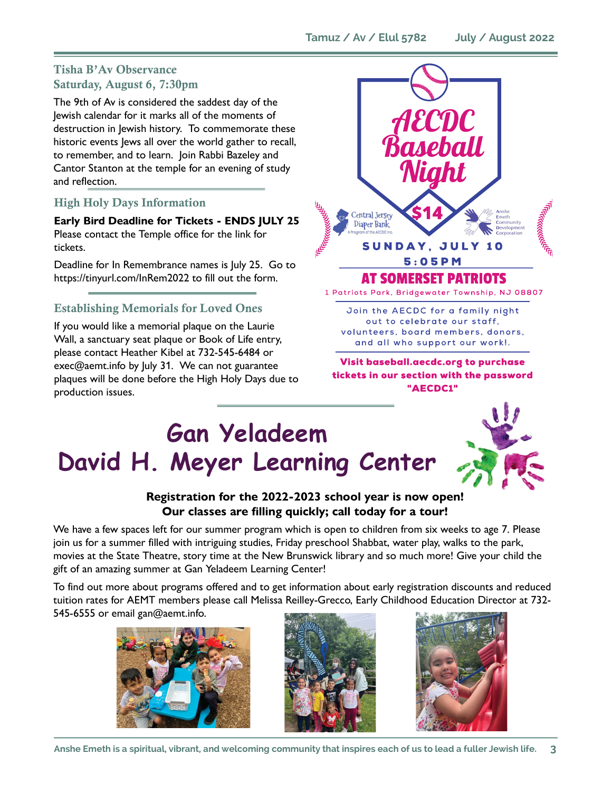## Tisha B'Av Observance Saturday, August 6, 7:30pm

The 9th of Av is considered the saddest day of the Jewish calendar for it marks all of the moments of destruction in Jewish history. To commemorate these historic events Jews all over the world gather to recall, to remember, and to learn. Join Rabbi Bazeley and Cantor Stanton at the temple for an evening of study and reflection.

## High Holy Days Information

Early Bird Deadline for Tickets - ENDS JULY 25 Please contact the Temple office for the link for tickets.

Deadline for In Remembrance names is July 25. Go to https://tinyurl.com/InRem2022 to fill out the form.

## Establishing Memorials for Loved Ones

If you would like a memorial plaque on the Laurie Wall, a sanctuary seat plaque or Book of Life entry, please contact Heather Kibel at 732-545-6484 or exec@aemt.info by July 31. We can not guarantee plaques will be done before the High Holy Days due to production issues.



Visit baseball.aecdc.org to purchase tickets in our section with the password "AECDC1"

## Gan Yeladeem David H. Meyer Learning Center



## Registration for the 2022-2023 school year is now open! Our classes are filling quickly; call today for a tour!

We have a few spaces left for our summer program which is open to children from six weeks to age 7. Please join us for a summer filled with intriguing studies, Friday preschool Shabbat, water play, walks to the park, movies at the State Theatre, story time at the New Brunswick library and so much more! Give your child the gift of an amazing summer at Gan Yeladeem Learning Center!

To find out more about programs offered and to get information about early registration discounts and reduced tuition rates for AEMT members please call Melissa Reilley-Grecco, Early Childhood Education Director at 732- 545-6555 or email gan@aemt.info.





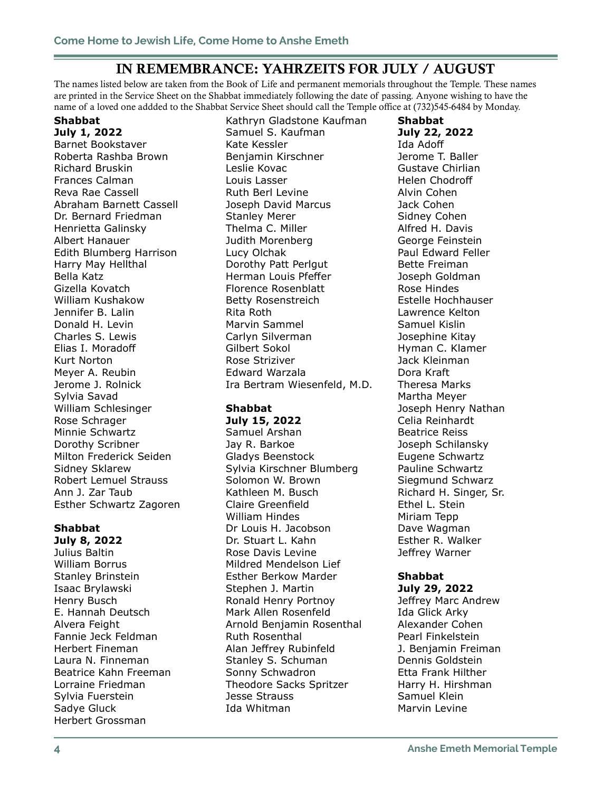## IN REMEMBRANCE: YAHRZEITS FOR JULY / AUGUST

The names listed below are taken from the Book of Life and permanent memorials throughout the Temple. These names are printed in the Service Sheet on the Shabbat immediately following the date of passing. Anyone wishing to have the name of a loved one addded to the Shabbat Service Sheet should call the Temple office at (732)545-6484 by Monday.

## Shabbat

July 1, 2022 Barnet Bookstaver Roberta Rashba Brown Richard Bruskin Frances Calman Reva Rae Cassell Abraham Barnett Cassell Dr. Bernard Friedman Henrietta Galinsky Albert Hanauer Edith Blumberg Harrison Harry May Hellthal Bella Katz Gizella Kovatch William Kushakow Jennifer B. Lalin Donald H. Levin Charles S. Lewis Elias I. Moradoff Kurt Norton Meyer A. Reubin Jerome J. Rolnick Sylvia Savad William Schlesinger Rose Schrager Minnie Schwartz Dorothy Scribner Milton Frederick Seiden Sidney Sklarew Robert Lemuel Strauss Ann J. Zar Taub Esther Schwartz Zagoren

## Shabbat

July 8, 2022 Julius Baltin William Borrus Stanley Brinstein Isaac Brylawski Henry Busch E. Hannah Deutsch Alvera Feight Fannie Jeck Feldman Herbert Fineman Laura N. Finneman Beatrice Kahn Freeman Lorraine Friedman Sylvia Fuerstein Sadye Gluck Herbert Grossman

Kathryn Gladstone Kaufman Samuel S. Kaufman Kate Kessler Benjamin Kirschner Leslie Kovac Louis Lasser Ruth Berl Levine Joseph David Marcus Stanley Merer Thelma C. Miller Judith Morenberg Lucy Olchak Dorothy Patt Perlgut Herman Louis Pfeffer Florence Rosenblatt Betty Rosenstreich Rita Roth Marvin Sammel Carlyn Silverman Gilbert Sokol Rose Striziver Edward Warzala Ira Bertram Wiesenfeld, M.D.

## Shabbat

July 15, 2022

Samuel Arshan Jay R. Barkoe Gladys Beenstock Sylvia Kirschner Blumberg Solomon W. Brown Kathleen M. Busch Claire Greenfield William Hindes Dr Louis H. Jacobson Dr. Stuart L. Kahn Rose Davis Levine Mildred Mendelson Lief Esther Berkow Marder Stephen J. Martin Ronald Henry Portnoy Mark Allen Rosenfeld Arnold Benjamin Rosenthal Ruth Rosenthal Alan Jeffrey Rubinfeld Stanley S. Schuman Sonny Schwadron Theodore Sacks Spritzer Jesse Strauss Ida Whitman

Shabbat July 22, 2022 Ida Adoff Jerome T. Baller Gustave Chirlian Helen Chodroff Alvin Cohen Jack Cohen Sidney Cohen Alfred H. Davis George Feinstein Paul Edward Feller Bette Freiman Joseph Goldman Rose Hindes Estelle Hochhauser Lawrence Kelton Samuel Kislin Josephine Kitay Hyman C. Klamer Jack Kleinman Dora Kraft Theresa Marks Martha Meyer Joseph Henry Nathan Celia Reinhardt Beatrice Reiss Joseph Schilansky Eugene Schwartz Pauline Schwartz Siegmund Schwarz Richard H. Singer, Sr. Ethel L. Stein Miriam Tepp Dave Wagman Esther R. Walker Jeffrey Warner

## Shabbat

July 29, 2022 Jeffrey Marc Andrew Ida Glick Arky Alexander Cohen Pearl Finkelstein J. Benjamin Freiman Dennis Goldstein Etta Frank Hilther Harry H. Hirshman Samuel Klein Marvin Levine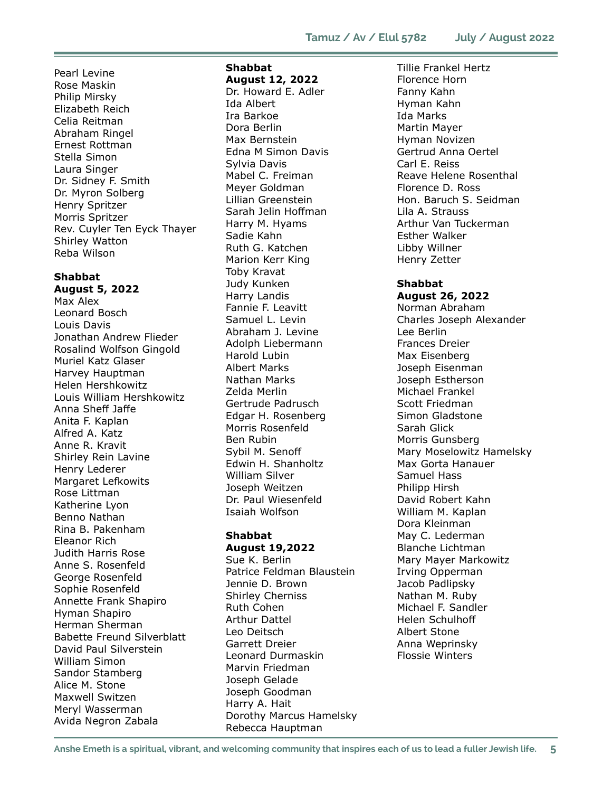Pearl Levine Rose Maskin Philip Mirsky Elizabeth Reich Celia Reitman Abraham Ringel Ernest Rottman Stella Simon Laura Singer Dr. Sidney F. Smith Dr. Myron Solberg Henry Spritzer Morris Spritzer Rev. Cuyler Ten Eyck Thayer Shirley Watton Reba Wilson

#### Shabbat August 5, 2022

Max Alex Leonard Bosch Louis Davis Jonathan Andrew Flieder Rosalind Wolfson Gingold Muriel Katz Glaser Harvey Hauptman Helen Hershkowitz Louis William Hershkowitz Anna Sheff Jaffe Anita F. Kaplan Alfred A. Katz Anne R. Kravit Shirley Rein Lavine Henry Lederer Margaret Lefkowits Rose Littman Katherine Lyon Benno Nathan Rina B. Pakenham Eleanor Rich Judith Harris Rose Anne S. Rosenfeld George Rosenfeld Sophie Rosenfeld Annette Frank Shapiro Hyman Shapiro Herman Sherman Babette Freund Silverblatt David Paul Silverstein William Simon Sandor Stamberg Alice M. Stone Maxwell Switzen Meryl Wasserman Avida Negron Zabala

## Shabbat

August 12, 2022 Dr. Howard E. Adler Ida Albert Ira Barkoe Dora Berlin Max Bernstein Edna M Simon Davis Sylvia Davis Mabel C. Freiman Meyer Goldman Lillian Greenstein Sarah Jelin Hoffman Harry M. Hyams Sadie Kahn Ruth G. Katchen Marion Kerr King Toby Kravat Judy Kunken Harry Landis Fannie F. Leavitt Samuel L. Levin Abraham J. Levine Adolph Liebermann Harold Lubin Albert Marks Nathan Marks Zelda Merlin Gertrude Padrusch Edgar H. Rosenberg Morris Rosenfeld Ben Rubin Sybil M. Senoff Edwin H. Shanholtz William Silver Joseph Weitzen Dr. Paul Wiesenfeld Isaiah Wolfson

#### Shabbat August 19,2022

Sue K. Berlin Patrice Feldman Blaustein Jennie D. Brown Shirley Cherniss Ruth Cohen Arthur Dattel Leo Deitsch Garrett Dreier Leonard Durmaskin Marvin Friedman Joseph Gelade Joseph Goodman Harry A. Hait Dorothy Marcus Hamelsky Rebecca Hauptman

Tillie Frankel Hertz Florence Horn Fanny Kahn Hyman Kahn Ida Marks Martin Mayer Hyman Novizen Gertrud Anna Oertel Carl E. Reiss Reave Helene Rosenthal Florence D. Ross Hon. Baruch S. Seidman Lila A. Strauss Arthur Van Tuckerman Esther Walker Libby Willner Henry Zetter

#### Shabbat August 26, 2022

Norman Abraham Charles Joseph Alexander Lee Berlin Frances Dreier Max Eisenberg Joseph Eisenman Joseph Estherson Michael Frankel Scott Friedman Simon Gladstone Sarah Glick Morris Gunsberg Mary Moselowitz Hamelsky Max Gorta Hanauer Samuel Hass Philipp Hirsh David Robert Kahn William M. Kaplan Dora Kleinman May C. Lederman Blanche Lichtman Mary Mayer Markowitz Irving Opperman Jacob Padlipsky Nathan M. Ruby Michael F. Sandler Helen Schulhoff Albert Stone Anna Weprinsky Flossie Winters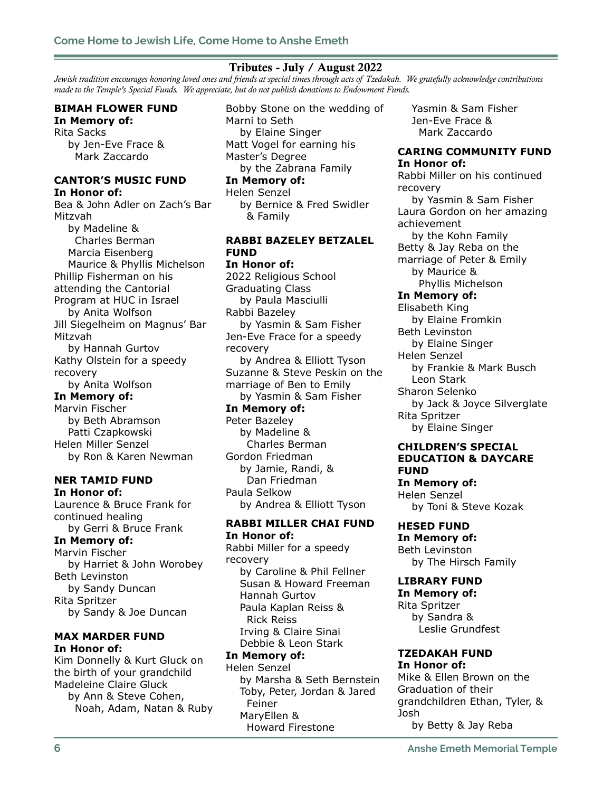#### Tributes - July / August 2022

Jewish tradition encourages honoring loved ones and friends at special times through acts of Tzedakah. We gratefully acknowledge contributions made to the Temple's Special Funds. We appreciate, but do not publish donations to Endowment Funds.

#### BIMAH FLOWER FUND In Memory of:

Rita Sacks by Jen-Eve Frace & Mark Zaccardo

#### CANTOR'S MUSIC FUND In Honor of:

Bea & John Adler on Zach's Bar Mitzvah by Madeline & Charles Berman Marcia Eisenberg Maurice & Phyllis Michelson Phillip Fisherman on his attending the Cantorial Program at HUC in Israel by Anita Wolfson Jill Siegelheim on Magnus' Bar Mitzvah by Hannah Gurtov Kathy Olstein for a speedy recovery by Anita Wolfson In Memory of: Marvin Fischer by Beth Abramson Patti Czapkowski Helen Miller Senzel

by Ron & Karen Newman

#### NER TAMID FUND In Honor of:

Laurence & Bruce Frank for continued healing by Gerri & Bruce Frank In Memory of: Marvin Fischer by Harriet & John Worobey Beth Levinston by Sandy Duncan Rita Spritzer by Sandy & Joe Duncan

#### MAX MARDER FUND In Honor of:

Kim Donnelly & Kurt Gluck on the birth of your grandchild Madeleine Claire Gluck by Ann & Steve Cohen, Noah, Adam, Natan & Ruby

Bobby Stone on the wedding of Marni to Seth by Elaine Singer Matt Vogel for earning his Master's Degree by the Zabrana Family In Memory of: Helen Senzel by Bernice & Fred Swidler & Family RABBI BAZELEY BETZALEL FUND In Honor of: 2022 Religious School Graduating Class by Paula Masciulli Rabbi Bazeley by Yasmin & Sam Fisher Jen-Eve Frace for a speedy recovery by Andrea & Elliott Tyson Suzanne & Steve Peskin on the marriage of Ben to Emily by Yasmin & Sam Fisher In Memory of: Peter Bazeley

 by Madeline & Charles Berman Gordon Friedman by Jamie, Randi, & Dan Friedman Paula Selkow by Andrea & Elliott Tyson

#### RABBI MILLER CHAI FUND In Honor of:

Rabbi Miller for a speedy recovery by Caroline & Phil Fellner Susan & Howard Freeman Hannah Gurtov Paula Kaplan Reiss & Rick Reiss Irving & Claire Sinai Debbie & Leon Stark

#### In Memory of:

Helen Senzel by Marsha & Seth Bernstein Toby, Peter, Jordan & Jared Feiner MaryEllen & Howard Firestone

 Yasmin & Sam Fisher Jen-Eve Frace & Mark Zaccardo

#### CARING COMMUNITY FUND In Honor of:

Rabbi Miller on his continued recovery by Yasmin & Sam Fisher Laura Gordon on her amazing achievement by the Kohn Family Betty & Jay Reba on the marriage of Peter & Emily by Maurice & Phyllis Michelson In Memory of: Elisabeth King by Elaine Fromkin Beth Levinston by Elaine Singer Helen Senzel by Frankie & Mark Busch Leon Stark Sharon Selenko by Jack & Joyce Silverglate Rita Spritzer by Elaine Singer CHILDREN'S SPECIAL

## EDUCATION & DAYCARE FUND

In Memory of: Helen Senzel by Toni & Steve Kozak

HESED FUND In Memory of:

Beth Levinston by The Hirsch Family

#### LIBRARY FUND

In Memory of: Rita Spritzer by Sandra & Leslie Grundfest

#### TZEDAKAH FUND In Honor of:

Mike & Ellen Brown on the Graduation of their grandchildren Ethan, Tyler, & Josh by Betty & Jay Reba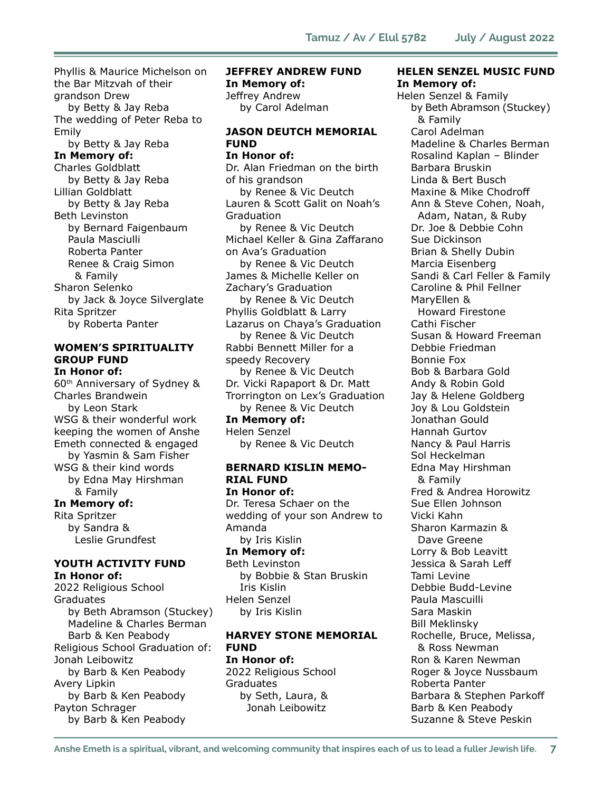Phyllis & Maurice Michelson on the Bar Mitzvah of their grandson Drew by Betty & Jay Reba The wedding of Peter Reba to Emily by Betty & Jay Reba

#### In Memory of:

Charles Goldblatt by Betty & Jay Reba Lillian Goldblatt by Betty & Jay Reba Beth Levinston by Bernard Faigenbaum Paula Masciulli Roberta Panter Renee & Craig Simon & Family Sharon Selenko by Jack & Joyce Silverglate Rita Spritzer by Roberta Panter

#### WOMEN'S SPIRITUALITY GROUP FUND In Honor of:

60th Anniversary of Sydney & Charles Brandwein by Leon Stark WSG & their wonderful work keeping the women of Anshe Emeth connected & engaged by Yasmin & Sam Fisher WSG & their kind words by Edna May Hirshman & Family In Memory of: Rita Spritzer

 by Sandra & Leslie Grundfest

#### YOUTH ACTIVITY FUND In Honor of:

2022 Religious School Graduates by Beth Abramson (Stuckey) Madeline & Charles Berman Barb & Ken Peabody Religious School Graduation of: Jonah Leibowitz by Barb & Ken Peabody Avery Lipkin by Barb & Ken Peabody Payton Schrager by Barb & Ken Peabody

## JEFFREY ANDREW FUND In Memory of: Jeffrey Andrew by Carol Adelman

#### JASON DEUTCH MEMORIAL FUND

In Honor of: Dr. Alan Friedman on the birth of his grandson by Renee & Vic Deutch Lauren & Scott Galit on Noah's Graduation by Renee & Vic Deutch Michael Keller & Gina Zaffarano on Ava's Graduation by Renee & Vic Deutch James & Michelle Keller on Zachary's Graduation by Renee & Vic Deutch Phyllis Goldblatt & Larry Lazarus on Chaya's Graduation by Renee & Vic Deutch Rabbi Bennett Miller for a speedy Recovery by Renee & Vic Deutch Dr. Vicki Rapaport & Dr. Matt Trorrington on Lex's Graduation by Renee & Vic Deutch In Memory of:

Helen Senzel by Renee & Vic Deutch

#### BERNARD KISLIN MEMO-RIAL FUND In Honor of:

Dr. Teresa Schaer on the wedding of your son Andrew to Amanda by Iris Kislin

#### In Memory of:

Beth Levinston by Bobbie & Stan Bruskin Iris Kislin Helen Senzel by Iris Kislin

#### HARVEY STONE MEMORIAL FUND

In Honor of: 2022 Religious School Graduates by Seth, Laura, & Jonah Leibowitz

#### HELEN SENZEL MUSIC FUND In Memory of:

Helen Senzel & Family by Beth Abramson (Stuckey) & Family Carol Adelman Madeline & Charles Berman Rosalind Kaplan – Blinder Barbara Bruskin Linda & Bert Busch Maxine & Mike Chodroff Ann & Steve Cohen, Noah, Adam, Natan, & Ruby Dr. Joe & Debbie Cohn Sue Dickinson Brian & Shelly Dubin Marcia Eisenberg Sandi & Carl Feller & Family Caroline & Phil Fellner MaryEllen & Howard Firestone Cathi Fischer Susan & Howard Freeman Debbie Friedman Bonnie Fox Bob & Barbara Gold Andy & Robin Gold Jay & Helene Goldberg Joy & Lou Goldstein Jonathan Gould Hannah Gurtov Nancy & Paul Harris Sol Heckelman Edna May Hirshman & Family Fred & Andrea Horowitz Sue Ellen Johnson Vicki Kahn Sharon Karmazin & Dave Greene Lorry & Bob Leavitt Jessica & Sarah Leff Tami Levine Debbie Budd-Levine Paula Mascuilli Sara Maskin Bill Meklinsky Rochelle, Bruce, Melissa, & Ross Newman Ron & Karen Newman Roger & Joyce Nussbaum Roberta Panter Barbara & Stephen Parkoff Barb & Ken Peabody Suzanne & Steve Peskin